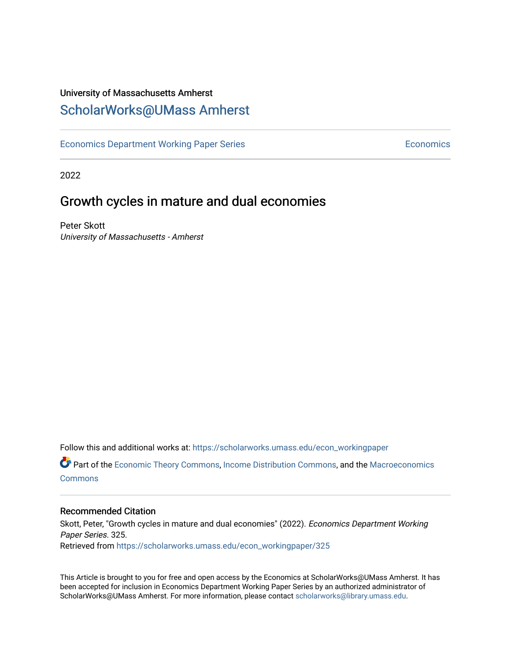# University of Massachusetts Amherst [ScholarWorks@UMass Amherst](https://scholarworks.umass.edu/)

[Economics Department Working Paper Series](https://scholarworks.umass.edu/econ_workingpaper) **Economics** Economics

2022

# Growth cycles in mature and dual economies

Peter Skott University of Massachusetts - Amherst

Follow this and additional works at: [https://scholarworks.umass.edu/econ\\_workingpaper](https://scholarworks.umass.edu/econ_workingpaper?utm_source=scholarworks.umass.edu%2Fecon_workingpaper%2F325&utm_medium=PDF&utm_campaign=PDFCoverPages) 

**C** Part of the [Economic Theory Commons](http://network.bepress.com/hgg/discipline/344?utm_source=scholarworks.umass.edu%2Fecon_workingpaper%2F325&utm_medium=PDF&utm_campaign=PDFCoverPages), [Income Distribution Commons](http://network.bepress.com/hgg/discipline/1269?utm_source=scholarworks.umass.edu%2Fecon_workingpaper%2F325&utm_medium=PDF&utm_campaign=PDFCoverPages), and the Macroeconomics [Commons](http://network.bepress.com/hgg/discipline/350?utm_source=scholarworks.umass.edu%2Fecon_workingpaper%2F325&utm_medium=PDF&utm_campaign=PDFCoverPages)

### Recommended Citation

Skott, Peter, "Growth cycles in mature and dual economies" (2022). Economics Department Working Paper Series. 325. Retrieved from [https://scholarworks.umass.edu/econ\\_workingpaper/325](https://scholarworks.umass.edu/econ_workingpaper/325?utm_source=scholarworks.umass.edu%2Fecon_workingpaper%2F325&utm_medium=PDF&utm_campaign=PDFCoverPages)

This Article is brought to you for free and open access by the Economics at ScholarWorks@UMass Amherst. It has been accepted for inclusion in Economics Department Working Paper Series by an authorized administrator of ScholarWorks@UMass Amherst. For more information, please contact [scholarworks@library.umass.edu.](mailto:scholarworks@library.umass.edu)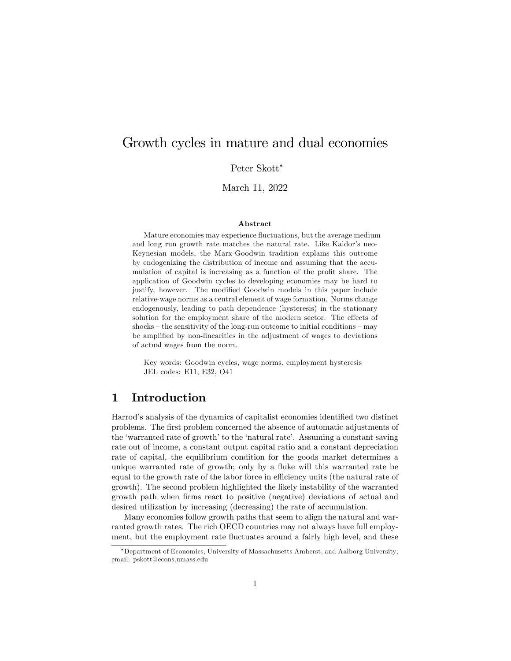# Growth cycles in mature and dual economies

Peter Skott

March 11, 2022

#### Abstract

Mature economies may experience fluctuations, but the average medium and long run growth rate matches the natural rate. Like Kaldor's neo-Keynesian models, the Marx-Goodwin tradition explains this outcome by endogenizing the distribution of income and assuming that the accumulation of capital is increasing as a function of the profit share. The application of Goodwin cycles to developing economies may be hard to justify, however. The modified Goodwin models in this paper include relative-wage norms as a central element of wage formation. Norms change endogenously, leading to path dependence (hysteresis) in the stationary solution for the employment share of the modern sector. The effects of  $shocks$  – the sensitivity of the long-run outcome to initial conditions – may be amplified by non-linearities in the adjustment of wages to deviations of actual wages from the norm.

Key words: Goodwin cycles, wage norms, employment hysteresis JEL codes: E11, E32, O41

## 1 Introduction

Harrod's analysis of the dynamics of capitalist economies identified two distinct problems. The Örst problem concerned the absence of automatic adjustments of the 'warranted rate of growth' to the 'natural rate'. Assuming a constant saving rate out of income, a constant output capital ratio and a constant depreciation rate of capital, the equilibrium condition for the goods market determines a unique warranted rate of growth; only by a fluke will this warranted rate be equal to the growth rate of the labor force in efficiency units (the natural rate of growth). The second problem highlighted the likely instability of the warranted growth path when Örms react to positive (negative) deviations of actual and desired utilization by increasing (decreasing) the rate of accumulation.

Many economies follow growth paths that seem to align the natural and warranted growth rates. The rich OECD countries may not always have full employment, but the employment rate fluctuates around a fairly high level, and these

Department of Economics, University of Massachusetts Amherst, and Aalborg University; email: pskott@econs.umass.edu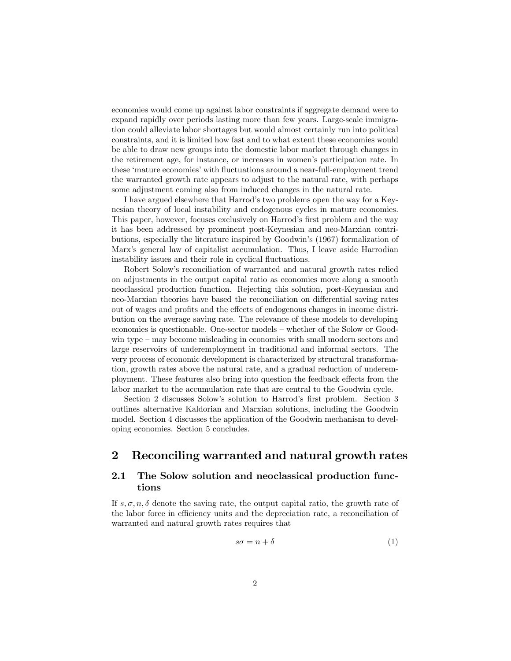economies would come up against labor constraints if aggregate demand were to expand rapidly over periods lasting more than few years. Large-scale immigration could alleviate labor shortages but would almost certainly run into political constraints, and it is limited how fast and to what extent these economies would be able to draw new groups into the domestic labor market through changes in the retirement age, for instance, or increases in women's participation rate. In these ëmature economiesíwith áuctuations around a near-full-employment trend the warranted growth rate appears to adjust to the natural rate, with perhaps some adjustment coming also from induced changes in the natural rate.

I have argued elsewhere that Harrod's two problems open the way for a Keynesian theory of local instability and endogenous cycles in mature economies. This paper, however, focuses exclusively on Harrod's first problem and the way it has been addressed by prominent post-Keynesian and neo-Marxian contributions, especially the literature inspired by Goodwin's (1967) formalization of Marx's general law of capitalist accumulation. Thus, I leave aside Harrodian instability issues and their role in cyclical fluctuations.

Robert Solowís reconciliation of warranted and natural growth rates relied on adjustments in the output capital ratio as economies move along a smooth neoclassical production function. Rejecting this solution, post-Keynesian and neo-Marxian theories have based the reconciliation on differential saving rates out of wages and profits and the effects of endogenous changes in income distribution on the average saving rate. The relevance of these models to developing economies is questionable. One-sector models – whether of the Solow or Goodwin type  $-\text{may}$  become misleading in economies with small modern sectors and large reservoirs of underemployment in traditional and informal sectors. The very process of economic development is characterized by structural transformation, growth rates above the natural rate, and a gradual reduction of underemployment. These features also bring into question the feedback effects from the labor market to the accumulation rate that are central to the Goodwin cycle.

Section 2 discusses Solow's solution to Harrod's first problem. Section 3 outlines alternative Kaldorian and Marxian solutions, including the Goodwin model. Section 4 discusses the application of the Goodwin mechanism to developing economies. Section 5 concludes.

## 2 Reconciling warranted and natural growth rates

## 2.1 The Solow solution and neoclassical production functions

If  $s, \sigma, n, \delta$  denote the saving rate, the output capital ratio, the growth rate of the labor force in efficiency units and the depreciation rate, a reconciliation of warranted and natural growth rates requires that

$$
s\sigma = n + \delta \tag{1}
$$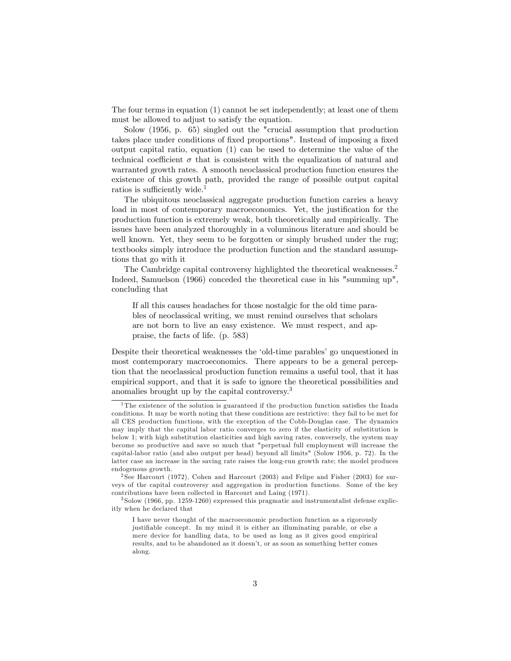The four terms in equation (1) cannot be set independently; at least one of them must be allowed to adjust to satisfy the equation.

Solow (1956, p. 65) singled out the "crucial assumption that production takes place under conditions of fixed proportions". Instead of imposing a fixed output capital ratio, equation (1) can be used to determine the value of the technical coefficient  $\sigma$  that is consistent with the equalization of natural and warranted growth rates. A smooth neoclassical production function ensures the existence of this growth path, provided the range of possible output capital ratios is sufficiently wide.<sup>1</sup>

The ubiquitous neoclassical aggregate production function carries a heavy load in most of contemporary macroeconomics. Yet, the justification for the production function is extremely weak, both theoretically and empirically. The issues have been analyzed thoroughly in a voluminous literature and should be well known. Yet, they seem to be forgotten or simply brushed under the rug; textbooks simply introduce the production function and the standard assumptions that go with it

The Cambridge capital controversy highlighted the theoretical weaknesses.<sup>2</sup> Indeed, Samuelson (1966) conceded the theoretical case in his "summing up", concluding that

If all this causes headaches for those nostalgic for the old time parables of neoclassical writing, we must remind ourselves that scholars are not born to live an easy existence. We must respect, and appraise, the facts of life. (p. 583)

Despite their theoretical weaknesses the 'old-time parables' go unquestioned in most contemporary macroeconomics. There appears to be a general perception that the neoclassical production function remains a useful tool, that it has empirical support, and that it is safe to ignore the theoretical possibilities and anomalies brought up by the capital controversy.<sup>3</sup>

<sup>&</sup>lt;sup>1</sup>The existence of the solution is guaranteed if the production function satisfies the Inada conditions. It may be worth noting that these conditions are restrictive: they fail to be met for all CES production functions, with the exception of the Cobb-Douglas case. The dynamics may imply that the capital labor ratio converges to zero if the elasticity of substitution is below 1; with high substitution elasticities and high saving rates, conversely, the system may become so productive and save so much that "perpetual full employment will increase the capital-labor ratio (and also output per head) beyond all limits" (Solow 1956, p. 72). In the latter case an increase in the saving rate raises the long-run growth rate; the model produces endogenous growth.

<sup>&</sup>lt;sup>2</sup> See Harcourt (1972), Cohen and Harcourt (2003) and Felipe and Fisher (2003) for surveys of the capital controversy and aggregation in production functions. Some of the key contributions have been collected in Harcourt and Laing (1971).

<sup>3</sup> Solow (1966, pp. 1259-1260) expressed this pragmatic and instrumentalist defense explicitly when he declared that

I have never thought of the macroeconomic production function as a rigorously justifiable concept. In my mind it is either an illuminating parable, or else a mere device for handling data, to be used as long as it gives good empirical results, and to be abandoned as it doesn't, or as soon as something better comes along.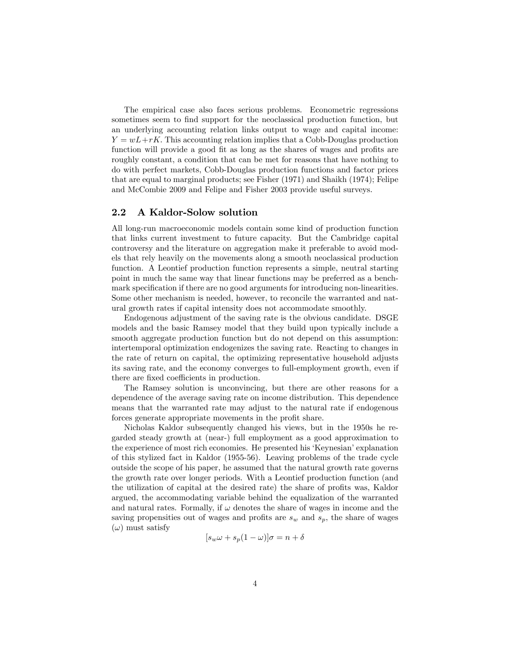The empirical case also faces serious problems. Econometric regressions sometimes seem to find support for the neoclassical production function, but an underlying accounting relation links output to wage and capital income:  $Y = wL + rK$ . This accounting relation implies that a Cobb-Douglas production function will provide a good fit as long as the shares of wages and profits are roughly constant, a condition that can be met for reasons that have nothing to do with perfect markets, Cobb-Douglas production functions and factor prices that are equal to marginal products; see Fisher (1971) and Shaikh (1974); Felipe and McCombie 2009 and Felipe and Fisher 2003 provide useful surveys.

#### 2.2 A Kaldor-Solow solution

All long-run macroeconomic models contain some kind of production function that links current investment to future capacity. But the Cambridge capital controversy and the literature on aggregation make it preferable to avoid models that rely heavily on the movements along a smooth neoclassical production function. A Leontief production function represents a simple, neutral starting point in much the same way that linear functions may be preferred as a benchmark specification if there are no good arguments for introducing non-linearities. Some other mechanism is needed, however, to reconcile the warranted and natural growth rates if capital intensity does not accommodate smoothly.

Endogenous adjustment of the saving rate is the obvious candidate. DSGE models and the basic Ramsey model that they build upon typically include a smooth aggregate production function but do not depend on this assumption: intertemporal optimization endogenizes the saving rate. Reacting to changes in the rate of return on capital, the optimizing representative household adjusts its saving rate, and the economy converges to full-employment growth, even if there are fixed coefficients in production.

The Ramsey solution is unconvincing, but there are other reasons for a dependence of the average saving rate on income distribution. This dependence means that the warranted rate may adjust to the natural rate if endogenous forces generate appropriate movements in the profit share.

Nicholas Kaldor subsequently changed his views, but in the 1950s he regarded steady growth at (near-) full employment as a good approximation to the experience of most rich economies. He presented his 'Keynesian' explanation of this stylized fact in Kaldor (1955-56). Leaving problems of the trade cycle outside the scope of his paper, he assumed that the natural growth rate governs the growth rate over longer periods. With a Leontief production function (and the utilization of capital at the desired rate) the share of profits was, Kaldor argued, the accommodating variable behind the equalization of the warranted and natural rates. Formally, if  $\omega$  denotes the share of wages in income and the saving propensities out of wages and profits are  $s_w$  and  $s_p$ , the share of wages  $(\omega)$  must satisfy

$$
[s_w \omega + s_p (1 - \omega)] \sigma = n + \delta
$$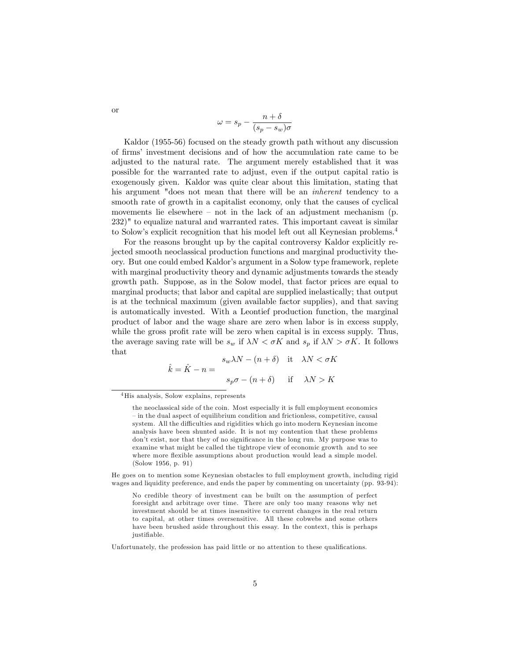$$
\omega = s_p - \frac{n+\delta}{(s_p - s_w)\sigma}
$$

Kaldor (1955-56) focused on the steady growth path without any discussion of Örmsí investment decisions and of how the accumulation rate came to be adjusted to the natural rate. The argument merely established that it was possible for the warranted rate to adjust, even if the output capital ratio is exogenously given. Kaldor was quite clear about this limitation, stating that his argument "does not mean that there will be an *inherent* tendency to a smooth rate of growth in a capitalist economy, only that the causes of cyclical movements lie elsewhere  $-$  not in the lack of an adjustment mechanism (p. 232)" to equalize natural and warranted rates. This important caveat is similar to Solowís explicit recognition that his model left out all Keynesian problems.<sup>4</sup>

For the reasons brought up by the capital controversy Kaldor explicitly rejected smooth neoclassical production functions and marginal productivity theory. But one could embed Kaldorís argument in a Solow type framework, replete with marginal productivity theory and dynamic adjustments towards the steady growth path. Suppose, as in the Solow model, that factor prices are equal to marginal products; that labor and capital are supplied inelastically; that output is at the technical maximum (given available factor supplies), and that saving is automatically invested. With a Leontief production function, the marginal product of labor and the wage share are zero when labor is in excess supply, while the gross profit rate will be zero when capital is in excess supply. Thus, the average saving rate will be  $s_w$  if  $\lambda N < \sigma K$  and  $s_p$  if  $\lambda N > \sigma K$ . It follows that

$$
\hat{k} = \hat{K} - n = \begin{cases}\ns_w \lambda N - (n + \delta) & \text{it} \quad \lambda N < \sigma K \\
s_p \sigma - (n + \delta) & \text{if} \quad \lambda N > K\n\end{cases}
$$

He goes on to mention some Keynesian obstacles to full employment growth, including rigid wages and liquidity preference, and ends the paper by commenting on uncertainty (pp. 93-94):

No credible theory of investment can be built on the assumption of perfect foresight and arbitrage over time. There are only too many reasons why net investment should be at times insensitive to current changes in the real return to capital, at other times oversensitive. All these cobwebs and some others have been brushed aside throughout this essay. In the context, this is perhaps justifiable.

Unfortunately, the profession has paid little or no attention to these qualifications.

or

<sup>4</sup>His analysis, Solow explains, represents

the neoclassical side of the coin. Most especially it is full employment economics – in the dual aspect of equilibrium condition and frictionless, competitive, causal system. All the difficulties and rigidities which go into modern Keynesian income analysis have been shunted aside. It is not my contention that these problems don't exist, nor that they of no significance in the long run. My purpose was to examine what might be called the tightrope view of economic growth and to see where more flexible assumptions about production would lead a simple model. (Solow 1956, p. 91)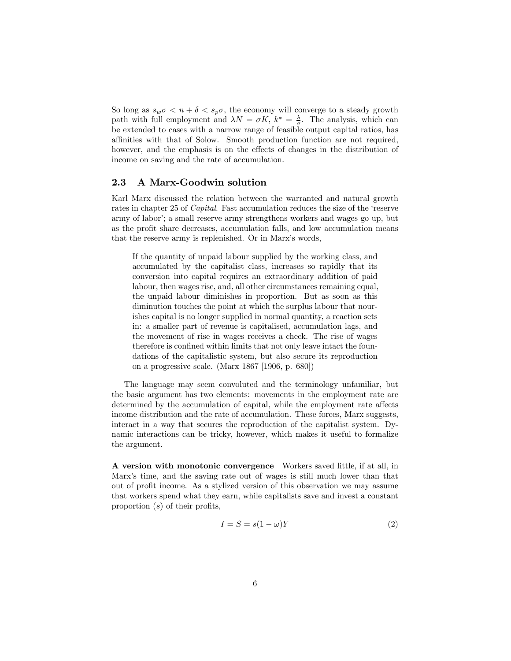So long as  $s_w \sigma < n + \delta < s_p \sigma$ , the economy will converge to a steady growth path with full employment and  $\lambda N = \sigma K$ ,  $k^* = \frac{\lambda}{\sigma}$ . The analysis, which can be extended to cases with a narrow range of feasible output capital ratios, has affinities with that of Solow. Smooth production function are not required, however, and the emphasis is on the effects of changes in the distribution of income on saving and the rate of accumulation.

#### 2.3 A Marx-Goodwin solution

Karl Marx discussed the relation between the warranted and natural growth rates in chapter 25 of *Capital*. Fast accumulation reduces the size of the 'reserve army of laborí; a small reserve army strengthens workers and wages go up, but as the profit share decreases, accumulation falls, and low accumulation means that the reserve army is replenished. Or in Marx's words,

If the quantity of unpaid labour supplied by the working class, and accumulated by the capitalist class, increases so rapidly that its conversion into capital requires an extraordinary addition of paid labour, then wages rise, and, all other circumstances remaining equal, the unpaid labour diminishes in proportion. But as soon as this diminution touches the point at which the surplus labour that nourishes capital is no longer supplied in normal quantity, a reaction sets in: a smaller part of revenue is capitalised, accumulation lags, and the movement of rise in wages receives a check. The rise of wages therefore is confined within limits that not only leave intact the foundations of the capitalistic system, but also secure its reproduction on a progressive scale. (Marx 1867 [1906, p. 680])

The language may seem convoluted and the terminology unfamiliar, but the basic argument has two elements: movements in the employment rate are determined by the accumulation of capital, while the employment rate affects income distribution and the rate of accumulation. These forces, Marx suggests, interact in a way that secures the reproduction of the capitalist system. Dynamic interactions can be tricky, however, which makes it useful to formalize the argument.

A version with monotonic convergence Workers saved little, if at all, in Marx's time, and the saving rate out of wages is still much lower than that out of profit income. As a stylized version of this observation we may assume that workers spend what they earn, while capitalists save and invest a constant proportion  $(s)$  of their profits,

$$
I = S = s(1 - \omega)Y
$$
\n<sup>(2)</sup>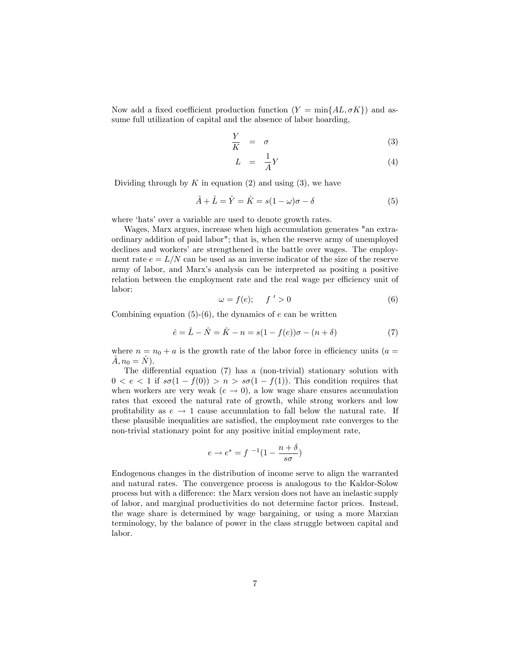Now add a fixed coefficient production function  $(Y = min\{AL, \sigma K\})$  and assume full utilization of capital and the absence of labor hoarding,

$$
\frac{Y}{K} = \sigma \tag{3}
$$

$$
L = \frac{1}{A}Y \tag{4}
$$

Dividing through by  $K$  in equation (2) and using (3), we have

$$
\hat{A} + \hat{L} = \hat{Y} = \hat{K} = s(1 - \omega)\sigma - \delta
$$
\n(5)

where 'hats' over a variable are used to denote growth rates.

Wages, Marx argues, increase when high accumulation generates "an extraordinary addition of paid labor"; that is, when the reserve army of unemployed declines and workers' are strengthened in the battle over wages. The employment rate  $e = L/N$  can be used as an inverse indicator of the size of the reserve army of labor, and Marxís analysis can be interpreted as positing a positive relation between the employment rate and the real wage per efficiency unit of labor:

$$
\omega = f(e); \qquad f \ ' > 0 \tag{6}
$$

Combining equation  $(5)-(6)$ , the dynamics of e can be written

$$
\hat{e} = \hat{L} - \hat{N} = \hat{K} - n = s(1 - f(e))\sigma - (n + \delta)
$$
\n(7)

where  $n = n_0 + a$  is the growth rate of the labor force in efficiency units (a =  $\hat{A}, n_0 = \hat{N}.$ 

The differential equation  $(7)$  has a (non-trivial) stationary solution with  $0 < e < 1$  if  $s\sigma(1 - f(0)) > n > s\sigma(1 - f(1))$ . This condition requires that when workers are very weak  $(e \rightarrow 0)$ , a low wage share ensures accumulation rates that exceed the natural rate of growth, while strong workers and low profitability as  $e \rightarrow 1$  cause accumulation to fall below the natural rate. If these plausible inequalities are satisfied, the employment rate converges to the non-trivial stationary point for any positive initial employment rate,

$$
e \to e^* = f^{-1}(1 - \frac{n + \delta}{s\sigma})
$$

Endogenous changes in the distribution of income serve to align the warranted and natural rates. The convergence process is analogous to the Kaldor-Solow process but with a difference: the Marx version does not have an inelastic supply of labor, and marginal productivities do not determine factor prices. Instead, the wage share is determined by wage bargaining, or using a more Marxian terminology, by the balance of power in the class struggle between capital and labor.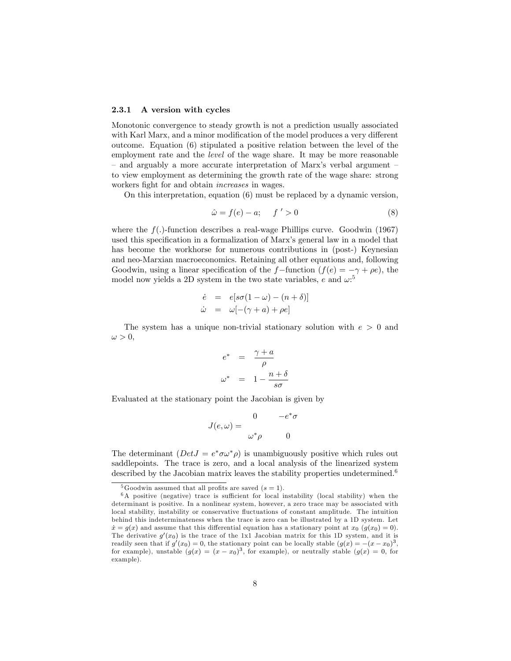#### 2.3.1 A version with cycles

Monotonic convergence to steady growth is not a prediction usually associated with Karl Marx, and a minor modification of the model produces a very different outcome. Equation (6) stipulated a positive relation between the level of the employment rate and the level of the wage share. It may be more reasonable  $\alpha$  and arguably a more accurate interpretation of Marx's verbal argument  $\alpha$ to view employment as determining the growth rate of the wage share: strong workers fight for and obtain *increases* in wages.

On this interpretation, equation (6) must be replaced by a dynamic version,

$$
\hat{\omega} = f(e) - a; \quad f' > 0 \tag{8}
$$

where the  $f(.)$ -function describes a real-wage Phillips curve. Goodwin (1967) used this specification in a formalization of Marx's general law in a model that has become the workhorse for numerous contributions in (post-) Keynesian and neo-Marxian macroeconomics. Retaining all other equations and, following Goodwin, using a linear specification of the f-function  $(f(e) = -\gamma + \rho e)$ , the model now yields a 2D system in the two state variables, e and  $\omega$ <sup>5</sup>

$$
\dot{e} = e[s\sigma(1-\omega) - (n+\delta)]
$$
  

$$
\dot{\omega} = \omega[-(\gamma + a) + \rho e]
$$

The system has a unique non-trivial stationary solution with  $e > 0$  and  $\omega > 0$ 

$$
e^* = \frac{\gamma + a}{\rho}
$$

$$
\omega^* = 1 - \frac{n + \delta}{s\sigma}
$$

Evaluated at the stationary point the Jacobian is given by

$$
J(e,\omega) = \begin{array}{cc} 0 & -e^*\sigma \\ & \\ \omega^*\rho & 0 \end{array}
$$

The determinant  $(DetJ = e^*\sigma\omega^*\rho)$  is unambiguously positive which rules out saddlepoints. The trace is zero, and a local analysis of the linearized system described by the Jacobian matrix leaves the stability properties undetermined.<sup>6</sup>

<sup>&</sup>lt;sup>5</sup>Goodwin assumed that all profits are saved  $(s = 1)$ .

 $6A$  positive (negative) trace is sufficient for local instability (local stability) when the determinant is positive. In a nonlinear system, however, a zero trace may be associated with local stability, instability or conservative fluctuations of constant amplitude. The intuition behind this indeterminateness when the trace is zero can be illustrated by a 1D system. Let  $\dot{x} = g(x)$  and assume that this differential equation has a stationary point at  $x_0$  ( $g(x_0) = 0$ ). The derivative  $g'(x_0)$  is the trace of the 1x1 Jacobian matrix for this 1D system, and it is readily seen that if  $g'(x_0) = 0$ , the stationary point can be locally stable  $(g(x) = -(x-x_0)^3$ , for example), unstable  $(g(x) = (x - x_0)^3$ , for example), or neutrally stable  $(g(x) = 0$ , for example).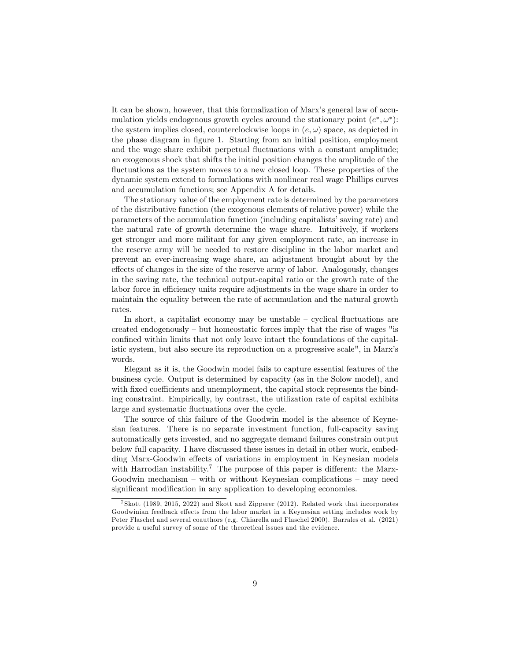It can be shown, however, that this formalization of Marx's general law of accumulation yields endogenous growth cycles around the stationary point  $(e^*, \omega^*)$ : the system implies closed, counterclockwise loops in  $(e, \omega)$  space, as depicted in the phase diagram in figure 1. Starting from an initial position, employment and the wage share exhibit perpetual fluctuations with a constant amplitude; an exogenous shock that shifts the initial position changes the amplitude of the fluctuations as the system moves to a new closed loop. These properties of the dynamic system extend to formulations with nonlinear real wage Phillips curves and accumulation functions; see Appendix A for details.

The stationary value of the employment rate is determined by the parameters of the distributive function (the exogenous elements of relative power) while the parameters of the accumulation function (including capitalists' saving rate) and the natural rate of growth determine the wage share. Intuitively, if workers get stronger and more militant for any given employment rate, an increase in the reserve army will be needed to restore discipline in the labor market and prevent an ever-increasing wage share, an adjustment brought about by the effects of changes in the size of the reserve army of labor. Analogously, changes in the saving rate, the technical output-capital ratio or the growth rate of the labor force in efficiency units require adjustments in the wage share in order to maintain the equality between the rate of accumulation and the natural growth rates.

In short, a capitalist economy may be unstable  $\sim$  cyclical fluctuations are created endogenously  $-$  but homeostatic forces imply that the rise of wages "is confined within limits that not only leave intact the foundations of the capitalistic system, but also secure its reproduction on a progressive scale", in Marxís words.

Elegant as it is, the Goodwin model fails to capture essential features of the business cycle. Output is determined by capacity (as in the Solow model), and with fixed coefficients and unemployment, the capital stock represents the binding constraint. Empirically, by contrast, the utilization rate of capital exhibits large and systematic fluctuations over the cycle.

The source of this failure of the Goodwin model is the absence of Keynesian features. There is no separate investment function, full-capacity saving automatically gets invested, and no aggregate demand failures constrain output below full capacity. I have discussed these issues in detail in other work, embedding Marx-Goodwin effects of variations in employment in Keynesian models with Harrodian instability.<sup>7</sup> The purpose of this paper is different: the Marx-Goodwin mechanism  $-$  with or without Keynesian complications  $-$  may need significant modification in any application to developing economies.

<sup>7</sup> Skott (1989, 2015, 2022) and Skott and Zipperer (2012). Related work that incorporates Goodwinian feedback effects from the labor market in a Keynesian setting includes work by Peter Flaschel and several coauthors (e.g. Chiarella and Flaschel 2000). Barrales et al. (2021) provide a useful survey of some of the theoretical issues and the evidence.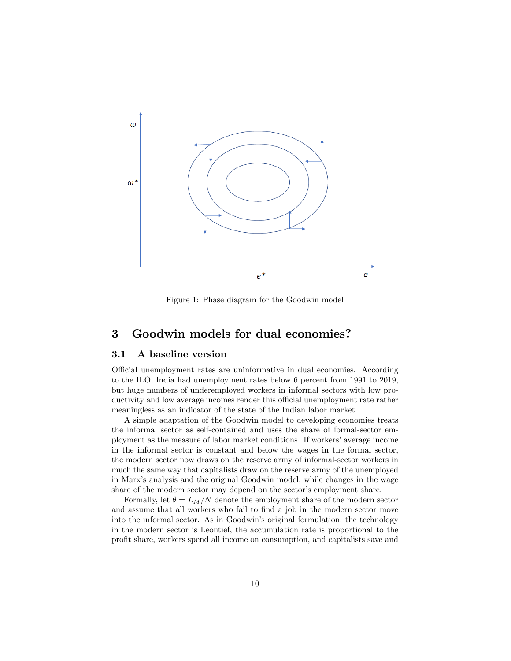

Figure 1: Phase diagram for the Goodwin model

### 3 Goodwin models for dual economies?

#### 3.1 A baseline version

Official unemployment rates are uninformative in dual economies. According to the ILO, India had unemployment rates below 6 percent from 1991 to 2019, but huge numbers of underemployed workers in informal sectors with low productivity and low average incomes render this official unemployment rate rather meaningless as an indicator of the state of the Indian labor market.

A simple adaptation of the Goodwin model to developing economies treats the informal sector as self-contained and uses the share of formal-sector employment as the measure of labor market conditions. If workers' average income in the informal sector is constant and below the wages in the formal sector, the modern sector now draws on the reserve army of informal-sector workers in much the same way that capitalists draw on the reserve army of the unemployed in Marxís analysis and the original Goodwin model, while changes in the wage share of the modern sector may depend on the sector's employment share.

Formally, let  $\theta = L_M/N$  denote the employment share of the modern sector and assume that all workers who fail to find a job in the modern sector move into the informal sector. As in Goodwin's original formulation, the technology in the modern sector is Leontief, the accumulation rate is proportional to the proÖt share, workers spend all income on consumption, and capitalists save and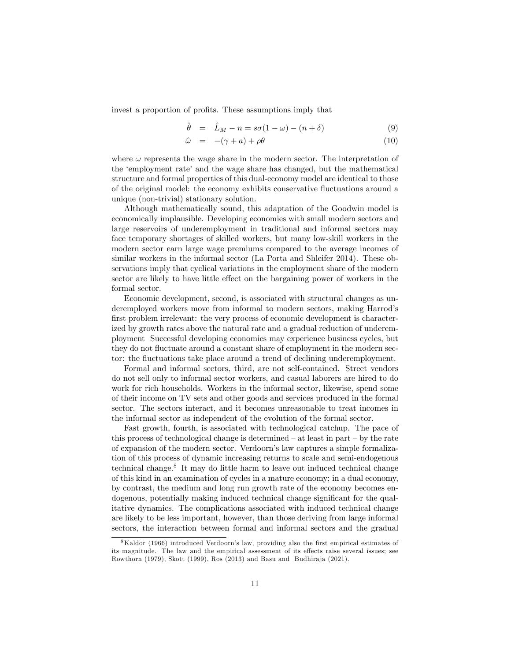invest a proportion of profits. These assumptions imply that

$$
\hat{\theta} = \hat{L}_M - n = s\sigma(1 - \omega) - (n + \delta) \tag{9}
$$

$$
\hat{\omega} = -(\gamma + a) + \rho \theta \tag{10}
$$

where  $\omega$  represents the wage share in the modern sector. The interpretation of the 'employment rate' and the wage share has changed, but the mathematical structure and formal properties of this dual-economy model are identical to those of the original model: the economy exhibits conservative áuctuations around a unique (non-trivial) stationary solution.

Although mathematically sound, this adaptation of the Goodwin model is economically implausible. Developing economies with small modern sectors and large reservoirs of underemployment in traditional and informal sectors may face temporary shortages of skilled workers, but many low-skill workers in the modern sector earn large wage premiums compared to the average incomes of similar workers in the informal sector (La Porta and Shleifer 2014). These observations imply that cyclical variations in the employment share of the modern sector are likely to have little effect on the bargaining power of workers in the formal sector.

Economic development, second, is associated with structural changes as underemployed workers move from informal to modern sectors, making Harrod's first problem irrelevant: the very process of economic development is characterized by growth rates above the natural rate and a gradual reduction of underemployment Successful developing economies may experience business cycles, but they do not fluctuate around a constant share of employment in the modern sector: the fluctuations take place around a trend of declining underemployment.

Formal and informal sectors, third, are not self-contained. Street vendors do not sell only to informal sector workers, and casual laborers are hired to do work for rich households. Workers in the informal sector, likewise, spend some of their income on TV sets and other goods and services produced in the formal sector. The sectors interact, and it becomes unreasonable to treat incomes in the informal sector as independent of the evolution of the formal sector.

Fast growth, fourth, is associated with technological catchup. The pace of this process of technological change is determined  $-\text{ at least in part} - \text{ by the rate}$ of expansion of the modern sector. Verdoornís law captures a simple formalization of this process of dynamic increasing returns to scale and semi-endogenous technical change.<sup>8</sup> It may do little harm to leave out induced technical change of this kind in an examination of cycles in a mature economy; in a dual economy, by contrast, the medium and long run growth rate of the economy becomes endogenous, potentially making induced technical change significant for the qualitative dynamics. The complications associated with induced technical change are likely to be less important, however, than those deriving from large informal sectors, the interaction between formal and informal sectors and the gradual

 $8$ Kaldor (1966) introduced Verdoorn's law, providing also the first empirical estimates of its magnitude. The law and the empirical assessment of its effects raise several issues; see Rowthorn (1979), Skott (1999), Ros (2013) and Basu and Budhiraja (2021).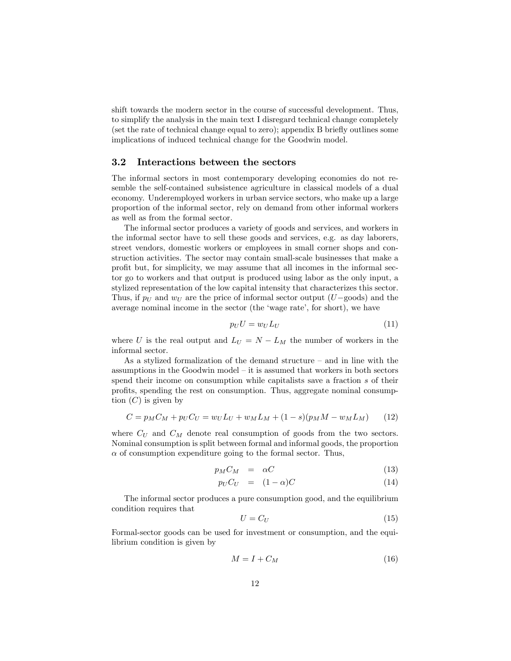shift towards the modern sector in the course of successful development. Thus, to simplify the analysis in the main text I disregard technical change completely (set the rate of technical change equal to zero); appendix B briefly outlines some implications of induced technical change for the Goodwin model.

#### 3.2 Interactions between the sectors

The informal sectors in most contemporary developing economies do not resemble the self-contained subsistence agriculture in classical models of a dual economy. Underemployed workers in urban service sectors, who make up a large proportion of the informal sector, rely on demand from other informal workers as well as from the formal sector.

The informal sector produces a variety of goods and services, and workers in the informal sector have to sell these goods and services, e.g. as day laborers, street vendors, domestic workers or employees in small corner shops and construction activities. The sector may contain small-scale businesses that make a profit but, for simplicity, we may assume that all incomes in the informal sector go to workers and that output is produced using labor as the only input, a stylized representation of the low capital intensity that characterizes this sector. Thus, if  $p_U$  and  $w_U$  are the price of informal sector output (U-goods) and the average nominal income in the sector (the 'wage rate', for short), we have

$$
p_U U = w_U L_U \tag{11}
$$

where U is the real output and  $L_U = N - L_M$  the number of workers in the informal sector.

As a stylized formalization of the demand structure  $-$  and in line with the assumptions in the Goodwin model  $-$  it is assumed that workers in both sectors spend their income on consumption while capitalists save a fraction s of their profits, spending the rest on consumption. Thus, aggregate nominal consumption  $(C)$  is given by

$$
C = p_M C_M + p_U C_U = w_U L_U + w_M L_M + (1 - s)(p_M M - w_M L_M)
$$
(12)

where  $C_U$  and  $C_M$  denote real consumption of goods from the two sectors. Nominal consumption is split between formal and informal goods, the proportion  $\alpha$  of consumption expenditure going to the formal sector. Thus,

$$
p_M C_M = \alpha C \tag{13}
$$

$$
p_U C_U = (1 - \alpha)C \tag{14}
$$

The informal sector produces a pure consumption good, and the equilibrium condition requires that

$$
U = C_U \tag{15}
$$

Formal-sector goods can be used for investment or consumption, and the equilibrium condition is given by

$$
M = I + C_M \tag{16}
$$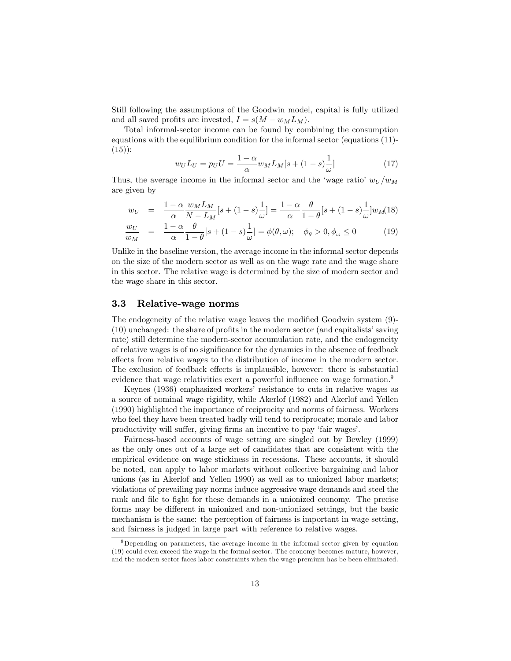Still following the assumptions of the Goodwin model, capital is fully utilized and all saved profits are invested,  $I = s(M - w_M L_M)$ .

Total informal-sector income can be found by combining the consumption equations with the equilibrium condition for the informal sector (equations (11)-  $(15)$ :

$$
w_U L_U = p_U U = \frac{1 - \alpha}{\alpha} w_M L_M [s + (1 - s) \frac{1}{\omega}]
$$
\n(17)

Thus, the average income in the informal sector and the 'wage ratio'  $w_{U}/w_{M}$ are given by

$$
w_U = \frac{1-\alpha}{\alpha} \frac{w_M L_M}{N - L_M} [s + (1-s)\frac{1}{\omega}] = \frac{1-\alpha}{\alpha} \frac{\theta}{1-\theta} [s + (1-s)\frac{1}{\omega}] w_M(18)
$$
  

$$
\frac{w_U}{W} = \frac{1-\alpha}{\alpha} \frac{\theta}{1-\alpha} [s + (1-s)\frac{1}{\omega}] = \phi(\theta/\omega) \quad \phi_s > 0, \phi_s < 0 \quad (19)
$$

$$
\frac{\omega_U}{w_M} = \frac{1 - \alpha}{\alpha} \frac{\omega}{1 - \theta} [s + (1 - s)\frac{1}{\omega}] = \phi(\theta, \omega); \quad \phi_\theta > 0, \phi_\omega \le 0 \tag{19}
$$

Unlike in the baseline version, the average income in the informal sector depends on the size of the modern sector as well as on the wage rate and the wage share in this sector. The relative wage is determined by the size of modern sector and the wage share in this sector.

#### 3.3 Relative-wage norms

The endogeneity of the relative wage leaves the modified Goodwin system (9)- $(10)$  unchanged: the share of profits in the modern sector (and capitalists' saving rate) still determine the modern-sector accumulation rate, and the endogeneity of relative wages is of no significance for the dynamics in the absence of feedback effects from relative wages to the distribution of income in the modern sector. The exclusion of feedback effects is implausible, however: there is substantial evidence that wage relativities exert a powerful influence on wage formation.<sup>9</sup>

Keynes (1936) emphasized workersí resistance to cuts in relative wages as a source of nominal wage rigidity, while Akerlof (1982) and Akerlof and Yellen (1990) highlighted the importance of reciprocity and norms of fairness. Workers who feel they have been treated badly will tend to reciprocate; morale and labor productivity will suffer, giving firms an incentive to pay 'fair wages'.

Fairness-based accounts of wage setting are singled out by Bewley (1999) as the only ones out of a large set of candidates that are consistent with the empirical evidence on wage stickiness in recessions. These accounts, it should be noted, can apply to labor markets without collective bargaining and labor unions (as in Akerlof and Yellen 1990) as well as to unionized labor markets; violations of prevailing pay norms induce aggressive wage demands and steel the rank and file to fight for these demands in a unionized economy. The precise forms may be different in unionized and non-unionized settings, but the basic mechanism is the same: the perception of fairness is important in wage setting, and fairness is judged in large part with reference to relative wages.

<sup>&</sup>lt;sup>9</sup>Depending on parameters, the average income in the informal sector given by equation (19) could even exceed the wage in the formal sector. The economy becomes mature, however, and the modern sector faces labor constraints when the wage premium has be been eliminated.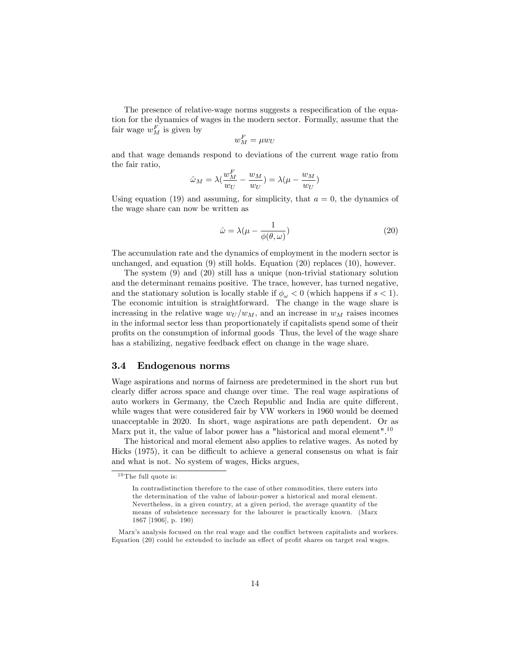The presence of relative-wage norms suggests a respecification of the equation for the dynamics of wages in the modern sector. Formally, assume that the fair wage  $w_M^F$  is given by

$$
w_M^F = \mu w_U
$$

and that wage demands respond to deviations of the current wage ratio from the fair ratio,

$$
\hat{\omega}_M = \lambda \left( \frac{w_M^F}{w_U} - \frac{w_M}{w_U} \right) = \lambda \left( \mu - \frac{w_M}{w_U} \right)
$$

Using equation (19) and assuming, for simplicity, that  $a = 0$ , the dynamics of the wage share can now be written as

$$
\hat{\omega} = \lambda (\mu - \frac{1}{\phi(\theta, \omega)})
$$
\n(20)

The accumulation rate and the dynamics of employment in the modern sector is unchanged, and equation (9) still holds. Equation (20) replaces (10), however.

The system (9) and (20) still has a unique (non-trivial stationary solution and the determinant remains positive. The trace, however, has turned negative, and the stationary solution is locally stable if  $\phi_{\omega} < 0$  (which happens if  $s < 1$ ). The economic intuition is straightforward. The change in the wage share is increasing in the relative wage  $w_U/w_M$ , and an increase in  $w_M$  raises incomes in the informal sector less than proportionately if capitalists spend some of their proÖts on the consumption of informal goods Thus, the level of the wage share has a stabilizing, negative feedback effect on change in the wage share.

#### 3.4 Endogenous norms

Wage aspirations and norms of fairness are predetermined in the short run but clearly differ across space and change over time. The real wage aspirations of auto workers in Germany, the Czech Republic and India are quite different, while wages that were considered fair by VW workers in 1960 would be deemed unacceptable in 2020. In short, wage aspirations are path dependent. Or as Marx put it, the value of labor power has a "historical and moral element".<sup>10</sup>

The historical and moral element also applies to relative wages. As noted by Hicks  $(1975)$ , it can be difficult to achieve a general consensus on what is fair and what is not. No system of wages, Hicks argues,

 $10$  The full quote is:

In contradistinction therefore to the case of other commodities, there enters into the determination of the value of labour-power a historical and moral element. Nevertheless, in a given country, at a given period, the average quantity of the means of subsistence necessary for the labourer is practically known. (Marx 1867 [1906], p. 190)

Marx's analysis focused on the real wage and the conflict between capitalists and workers. Equation  $(20)$  could be extended to include an effect of profit shares on target real wages.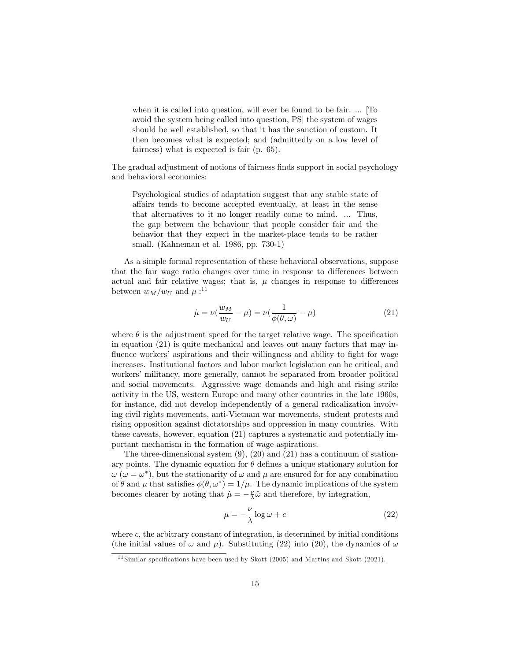when it is called into question, will ever be found to be fair. ... [To avoid the system being called into question, PS] the system of wages should be well established, so that it has the sanction of custom. It then becomes what is expected; and (admittedly on a low level of fairness) what is expected is fair (p. 65).

The gradual adjustment of notions of fairness finds support in social psychology and behavioral economics:

Psychological studies of adaptation suggest that any stable state of a§airs tends to become accepted eventually, at least in the sense that alternatives to it no longer readily come to mind. ... Thus, the gap between the behaviour that people consider fair and the behavior that they expect in the market-place tends to be rather small. (Kahneman et al. 1986, pp. 730-1)

As a simple formal representation of these behavioral observations, suppose that the fair wage ratio changes over time in response to differences between actual and fair relative wages; that is,  $\mu$  changes in response to differences between  $w_M/w_U$  and  $\mu:$ <sup>11</sup>

$$
\dot{\mu} = \nu \left( \frac{w_M}{w_U} - \mu \right) = \nu \left( \frac{1}{\phi(\theta, \omega)} - \mu \right) \tag{21}
$$

where  $\theta$  is the adjustment speed for the target relative wage. The specification in equation (21) is quite mechanical and leaves out many factors that may influence workers' aspirations and their willingness and ability to fight for wage increases. Institutional factors and labor market legislation can be critical, and workers' militancy, more generally, cannot be separated from broader political and social movements. Aggressive wage demands and high and rising strike activity in the US, western Europe and many other countries in the late 1960s, for instance, did not develop independently of a general radicalization involving civil rights movements, anti-Vietnam war movements, student protests and rising opposition against dictatorships and oppression in many countries. With these caveats, however, equation (21) captures a systematic and potentially important mechanism in the formation of wage aspirations.

The three-dimensional system  $(9)$ ,  $(20)$  and  $(21)$  has a continuum of stationary points. The dynamic equation for  $\theta$  defines a unique stationary solution for  $\omega$  ( $\omega = \omega^*$ ), but the stationarity of  $\omega$  and  $\mu$  are ensured for for any combination of  $\theta$  and  $\mu$  that satisfies  $\phi(\theta, \omega^*) = 1/\mu$ . The dynamic implications of the system becomes clearer by noting that  $\mu = -\frac{\nu}{\lambda}\hat{\omega}$  and therefore, by integration,

$$
\mu = -\frac{\nu}{\lambda} \log \omega + c \tag{22}
$$

where  $c$ , the arbitrary constant of integration, is determined by initial conditions (the initial values of  $\omega$  and  $\mu$ ). Substituting (22) into (20), the dynamics of  $\omega$ 

 $11$  Similar specifications have been used by Skott (2005) and Martins and Skott (2021).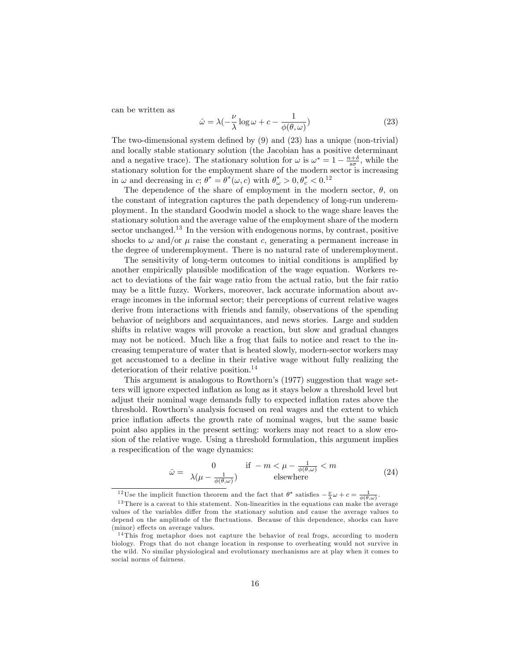can be written as

$$
\hat{\omega} = \lambda \left( -\frac{\nu}{\lambda} \log \omega + c - \frac{1}{\phi(\theta, \omega)} \right) \tag{23}
$$

The two-dimensional system defined by  $(9)$  and  $(23)$  has a unique (non-trivial) and locally stable stationary solution (the Jacobian has a positive determinant and a negative trace). The stationary solution for  $\omega$  is  $\omega^* = 1 - \frac{n+\delta}{s\sigma}$ , while the stationary solution for the employment share of the modern sector is increasing in  $\omega$  and decreasing in c;  $\theta^* = \theta^*(\omega, c)$  with  $\theta^*_{\omega} > 0, \theta^*_{c} < 0.12$ 

The dependence of the share of employment in the modern sector,  $\theta$ , on the constant of integration captures the path dependency of long-run underemployment. In the standard Goodwin model a shock to the wage share leaves the stationary solution and the average value of the employment share of the modern sector unchanged.<sup>13</sup> In the version with endogenous norms, by contrast, positive shocks to  $\omega$  and/or  $\mu$  raise the constant c, generating a permanent increase in the degree of underemployment. There is no natural rate of underemployment.

The sensitivity of long-term outcomes to initial conditions is amplified by another empirically plausible modification of the wage equation. Workers react to deviations of the fair wage ratio from the actual ratio, but the fair ratio may be a little fuzzy. Workers, moreover, lack accurate information about average incomes in the informal sector; their perceptions of current relative wages derive from interactions with friends and family, observations of the spending behavior of neighbors and acquaintances, and news stories. Large and sudden shifts in relative wages will provoke a reaction, but slow and gradual changes may not be noticed. Much like a frog that fails to notice and react to the increasing temperature of water that is heated slowly, modern-sector workers may get accustomed to a decline in their relative wage without fully realizing the deterioration of their relative position.<sup>14</sup>

This argument is analogous to Rowthorn's (1977) suggestion that wage setters will ignore expected inflation as long as it stays below a threshold level but adjust their nominal wage demands fully to expected inflation rates above the threshold. Rowthornís analysis focused on real wages and the extent to which price inflation affects the growth rate of nominal wages, but the same basic point also applies in the present setting: workers may not react to a slow erosion of the relative wage. Using a threshold formulation, this argument implies a respecification of the wage dynamics:

$$
\hat{\omega} = \frac{0}{\lambda(\mu - \frac{1}{\phi(\theta,\omega)})} \quad \text{if} \quad -m < \mu - \frac{1}{\phi(\theta,\omega)} < m \tag{24}
$$

<sup>&</sup>lt;sup>12</sup>Use the implicit function theorem and the fact that  $\theta^*$  satisfies  $-\frac{\nu}{\lambda}\omega + c = \frac{1}{\phi(\theta,\omega)}$ .

<sup>&</sup>lt;sup>13</sup> There is a caveat to this statement. Non-linearities in the equations can make the average values of the variables differ from the stationary solution and cause the average values to depend on the amplitude of the fluctuations. Because of this dependence, shocks can have (minor) effects on average values.

 $14$ This frog metaphor does not capture the behavior of real frogs, according to modern biology. Frogs that do not change location in response to overheating would not survive in the wild. No similar physiological and evolutionary mechanisms are at play when it comes to social norms of fairness.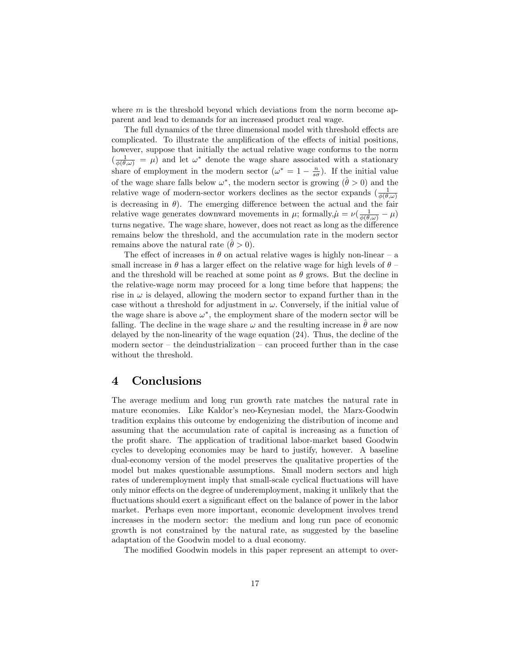where  $m$  is the threshold beyond which deviations from the norm become apparent and lead to demands for an increased product real wage.

The full dynamics of the three dimensional model with threshold effects are complicated. To illustrate the amplification of the effects of initial positions, however, suppose that initially the actual relative wage conforms to the norm  $\left(\frac{1}{\phi(\theta,\omega)} = \mu\right)$  and let  $\omega^*$  denote the wage share associated with a stationary share of employment in the modern sector  $(\omega^* = 1 - \frac{n}{s\sigma})$ . If the initial value of the wage share falls below  $\omega^*$ , the modern sector is growing  $(\hat{\theta} > 0)$  and the relative wage of modern-sector workers declines as the sector expands  $\left(\frac{1}{\phi(\theta,\omega)}\right)$ is decreasing in  $\theta$ ). The emerging difference between the actual and the fair relative wage generates downward movements in  $\mu$ ; formally,  $\mu = \nu(\frac{1}{\phi(\theta,\omega)} - \mu)$ turns negative. The wage share, however, does not react as long as the difference remains below the threshold, and the accumulation rate in the modern sector remains above the natural rate  $(\theta > 0)$ .

The effect of increases in  $\theta$  on actual relative wages is highly non-linear – a small increase in  $\theta$  has a larger effect on the relative wage for high levels of  $\theta$  – and the threshold will be reached at some point as  $\theta$  grows. But the decline in the relative-wage norm may proceed for a long time before that happens; the rise in  $\omega$  is delayed, allowing the modern sector to expand further than in the case without a threshold for adjustment in  $\omega$ . Conversely, if the initial value of the wage share is above  $\omega^*$ , the employment share of the modern sector will be falling. The decline in the wage share  $\omega$  and the resulting increase in  $\hat{\theta}$  are now delayed by the non-linearity of the wage equation (24). Thus, the decline of the modern sector  $-$  the deindustrialization  $-$  can proceed further than in the case without the threshold.

### 4 Conclusions

The average medium and long run growth rate matches the natural rate in mature economies. Like Kaldor's neo-Keynesian model, the Marx-Goodwin tradition explains this outcome by endogenizing the distribution of income and assuming that the accumulation rate of capital is increasing as a function of the profit share. The application of traditional labor-market based Goodwin cycles to developing economies may be hard to justify, however. A baseline dual-economy version of the model preserves the qualitative properties of the model but makes questionable assumptions. Small modern sectors and high rates of underemployment imply that small-scale cyclical fluctuations will have only minor effects on the degree of underemployment, making it unlikely that the fluctuations should exert a significant effect on the balance of power in the labor market. Perhaps even more important, economic development involves trend increases in the modern sector: the medium and long run pace of economic growth is not constrained by the natural rate, as suggested by the baseline adaptation of the Goodwin model to a dual economy.

The modified Goodwin models in this paper represent an attempt to over-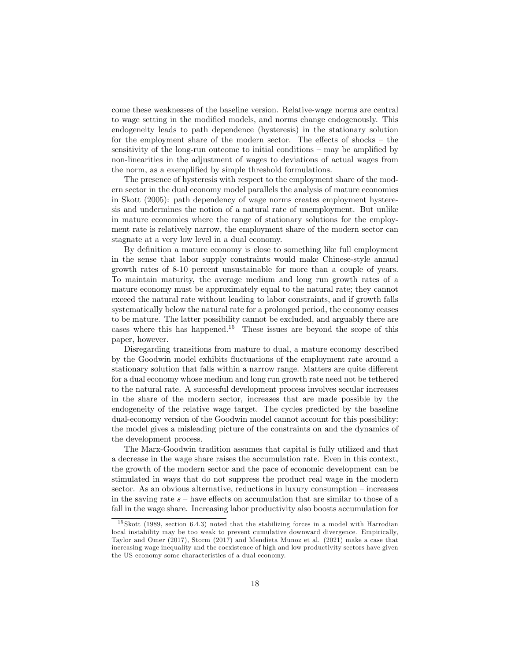come these weaknesses of the baseline version. Relative-wage norms are central to wage setting in the modified models, and norms change endogenously. This endogeneity leads to path dependence (hysteresis) in the stationary solution for the employment share of the modern sector. The effects of shocks  $-$  the sensitivity of the long-run outcome to initial conditions  $-$  may be amplified by non-linearities in the adjustment of wages to deviations of actual wages from the norm, as a exemplified by simple threshold formulations.

The presence of hysteresis with respect to the employment share of the modern sector in the dual economy model parallels the analysis of mature economies in Skott (2005): path dependency of wage norms creates employment hysteresis and undermines the notion of a natural rate of unemployment. But unlike in mature economies where the range of stationary solutions for the employment rate is relatively narrow, the employment share of the modern sector can stagnate at a very low level in a dual economy.

By definition a mature economy is close to something like full employment in the sense that labor supply constraints would make Chinese-style annual growth rates of 8-10 percent unsustainable for more than a couple of years. To maintain maturity, the average medium and long run growth rates of a mature economy must be approximately equal to the natural rate; they cannot exceed the natural rate without leading to labor constraints, and if growth falls systematically below the natural rate for a prolonged period, the economy ceases to be mature. The latter possibility cannot be excluded, and arguably there are cases where this has happened.<sup>15</sup> These issues are beyond the scope of this paper, however.

Disregarding transitions from mature to dual, a mature economy described by the Goodwin model exhibits fluctuations of the employment rate around a stationary solution that falls within a narrow range. Matters are quite different for a dual economy whose medium and long run growth rate need not be tethered to the natural rate. A successful development process involves secular increases in the share of the modern sector, increases that are made possible by the endogeneity of the relative wage target. The cycles predicted by the baseline dual-economy version of the Goodwin model cannot account for this possibility: the model gives a misleading picture of the constraints on and the dynamics of the development process.

The Marx-Goodwin tradition assumes that capital is fully utilized and that a decrease in the wage share raises the accumulation rate. Even in this context, the growth of the modern sector and the pace of economic development can be stimulated in ways that do not suppress the product real wage in the modern sector. As an obvious alternative, reductions in luxury consumption  $-$  increases in the saving rate  $s$  – have effects on accumulation that are similar to those of a fall in the wage share. Increasing labor productivity also boosts accumulation for

 $15$  Skott (1989, section 6.4.3) noted that the stabilizing forces in a model with Harrodian local instability may be too weak to prevent cumulative downward divergence. Empirically, Taylor and Omer (2017), Storm (2017) and Mendieta Munoz et al. (2021) make a case that increasing wage inequality and the coexistence of high and low productivity sectors have given the US economy some characteristics of a dual economy.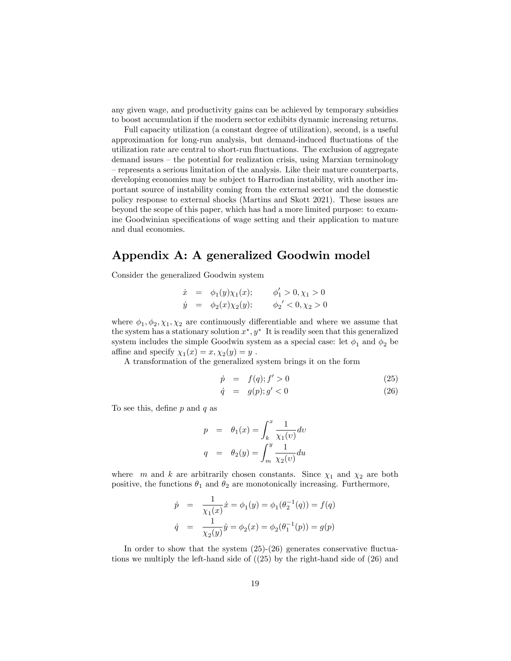any given wage, and productivity gains can be achieved by temporary subsidies to boost accumulation if the modern sector exhibits dynamic increasing returns.

Full capacity utilization (a constant degree of utilization), second, is a useful approximation for long-run analysis, but demand-induced áuctuations of the utilization rate are central to short-run fluctuations. The exclusion of aggregate  $d$ emand issues  $-\theta$  the potential for realization crisis, using Marxian terminology - represents a serious limitation of the analysis. Like their mature counterparts, developing economies may be subject to Harrodian instability, with another important source of instability coming from the external sector and the domestic policy response to external shocks (Martins and Skott 2021). These issues are beyond the scope of this paper, which has had a more limited purpose: to examine Goodwinian specifications of wage setting and their application to mature and dual economies.

# Appendix A: A generalized Goodwin model

Consider the generalized Goodwin system

$$
\dot{x} = \phi_1(y)\chi_1(x); \qquad \phi'_1 > 0, \chi_1 > 0
$$
  
\n
$$
\dot{y} = \phi_2(x)\chi_2(y); \qquad \phi'_2 < 0, \chi_2 > 0
$$

where  $\phi_1, \phi_2, \chi_1, \chi_2$  are continuously differentiable and where we assume that the system has a stationary solution  $x^*$ ,  $y^*$  It is readily seen that this generalized system includes the simple Goodwin system as a special case: let  $\phi_1$  and  $\phi_2$  be affine and specify  $\chi_1(x) = x, \chi_2(y) = y$ .

A transformation of the generalized system brings it on the form

$$
\dot{p} = f(q); f' > 0 \tag{25}
$$

$$
\dot{q} = g(p); g' < 0 \tag{26}
$$

To see this, define  $p$  and  $q$  as

$$
p = \theta_1(x) = \int_k^x \frac{1}{\chi_1(v)} dv
$$

$$
q = \theta_2(y) = \int_m^y \frac{1}{\chi_2(v)} du
$$

where m and k are arbitrarily chosen constants. Since  $\chi_1$  and  $\chi_2$  are both positive, the functions  $\theta_1$  and  $\theta_2$  are monotonically increasing. Furthermore,

$$
\dot{p} = \frac{1}{\chi_1(x)} \dot{x} = \phi_1(y) = \phi_1(\theta_2^{-1}(q)) = f(q)
$$
  

$$
\dot{q} = \frac{1}{\chi_2(y)} \dot{y} = \phi_2(x) = \phi_2(\theta_1^{-1}(p)) = g(p)
$$

In order to show that the system  $(25)-(26)$  generates conservative fluctuations we multiply the left-hand side of ((25) by the right-hand side of (26) and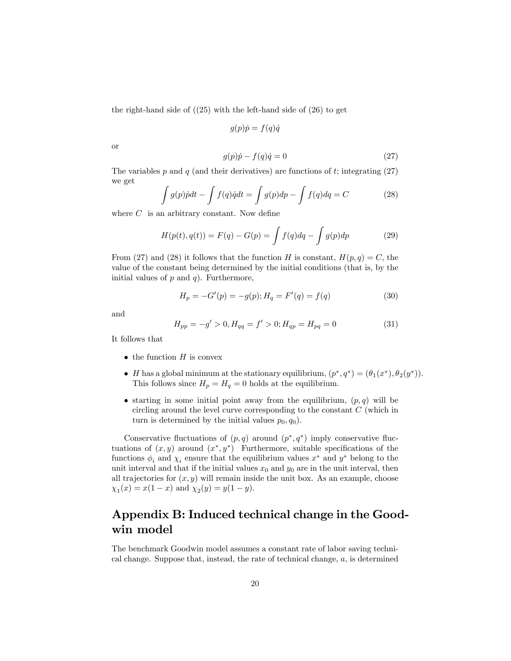the right-hand side of  $(25)$  with the left-hand side of  $(26)$  to get

$$
g(p)\dot{p} = f(q)\dot{q}
$$

or

$$
g(p)\dot{p} - f(q)\dot{q} = 0\tag{27}
$$

The variables p and q (and their derivatives) are functions of t; integrating  $(27)$ we get

$$
\int g(p)\dot{p}dt - \int f(q)\dot{q}dt = \int g(p)dp - \int f(q)dq = C \tag{28}
$$

where  $C$  is an arbitrary constant. Now define

$$
H(p(t), q(t)) = F(q) - G(p) = \int f(q) dq - \int g(p) dp \tag{29}
$$

From (27) and (28) it follows that the function H is constant,  $H(p,q) = C$ , the value of the constant being determined by the initial conditions (that is, by the initial values of  $p$  and  $q$ ). Furthermore,

$$
H_p = -G'(p) = -g(p); H_q = F'(q) = f(q)
$$
\n(30)

and

$$
H_{pp} = -g' > 0, H_{qq} = f' > 0; H_{qp} = H_{pq} = 0
$$
\n(31)

It follows that

- $\bullet$  the function  $H$  is convex
- *H* has a global minimum at the stationary equilibrium,  $(p^*, q^*) = (\theta_1(x^*), \theta_2(y^*)).$ This follows since  $H_p = H_q = 0$  holds at the equilibrium.
- starting in some initial point away from the equilibrium,  $(p, q)$  will be circling around the level curve corresponding to the constant C (which in turn is determined by the initial values  $p_0, q_0$ .

Conservative fluctuations of  $(p, q)$  around  $(p^*, q^*)$  imply conservative fluctuations of  $(x, y)$  around  $(x^*, y^*)$  Furthermore, suitable specifications of the functions  $\phi_i$  and  $\chi_i$  ensure that the equilibrium values  $x^*$  and  $y^*$  belong to the unit interval and that if the initial values  $x_0$  and  $y_0$  are in the unit interval, then all trajectories for  $(x, y)$  will remain inside the unit box. As an example, choose  $\chi_1(x) = x(1-x)$  and  $\chi_2(y) = y(1-y)$ .

## Appendix B: Induced technical change in the Goodwin model

The benchmark Goodwin model assumes a constant rate of labor saving technical change. Suppose that, instead, the rate of technical change, a, is determined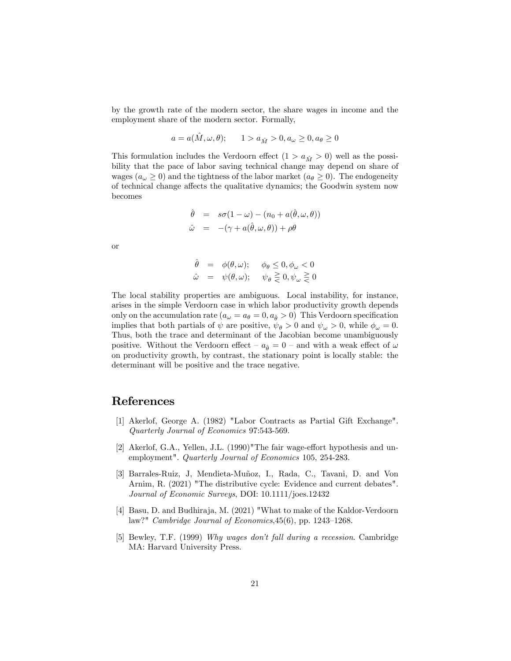by the growth rate of the modern sector, the share wages in income and the employment share of the modern sector. Formally,

$$
a = a(\hat{M}, \omega, \theta); \qquad 1 > a_{\hat{M}} > 0, a_{\omega} \ge 0, a_{\theta} \ge 0
$$

This formulation includes the Verdoorn effect  $(1 > a_{\hat{M}} > 0)$  well as the possibility that the pace of labor saving technical change may depend on share of wages  $(a_{\omega} \geq 0)$  and the tightness of the labor market  $(a_{\theta} \geq 0)$ . The endogeneity of technical change affects the qualitative dynamics; the Goodwin system now becomes

$$
\hat{\theta} = s\sigma(1-\omega) - (n_0 + a(\hat{\theta}, \omega, \theta))
$$
  

$$
\hat{\omega} = -(\gamma + a(\hat{\theta}, \omega, \theta)) + \rho\theta
$$

or

$$
\begin{array}{rcl}\n\hat{\theta} & = & \phi(\theta, \omega); \quad \phi_{\theta} \le 0, \phi_{\omega} < 0 \\
\hat{\omega} & = & \psi(\theta, \omega); \quad \psi_{\theta} \ge 0, \psi_{\omega} \ge 0\n\end{array}
$$

The local stability properties are ambiguous. Local instability, for instance, arises in the simple Verdoorn case in which labor productivity growth depends only on the accumulation rate  $(a_{\omega} = a_{\theta} = 0, a_{\hat{\theta}} > 0)$  This Verdoorn specification implies that both partials of  $\psi$  are positive,  $\psi_{\theta} > 0$  and  $\psi_{\omega} > 0$ , while  $\phi_{\omega} = 0$ . Thus, both the trace and determinant of the Jacobian become unambiguously positive. Without the Verdoorn effect  $-a_{\hat{\theta}} = 0$  – and with a weak effect of  $\omega$ on productivity growth, by contrast, the stationary point is locally stable: the determinant will be positive and the trace negative.

## References

- [1] Akerlof, George A. (1982) "Labor Contracts as Partial Gift Exchange". Quarterly Journal of Economics 97:543-569.
- [2] Akerlof, G.A., Yellen, J.L.  $(1990)$ "The fair wage-effort hypothesis and unemployment". Quarterly Journal of Economics 105, 254-283.
- [3] Barrales-Ruiz, J, Mendieta-Muñoz, I., Rada, C., Tavani, D. and Von Arnim, R. (2021) "The distributive cycle: Evidence and current debates". Journal of Economic Surveys, DOI: 10.1111/joes.12432
- [4] Basu, D. and Budhiraja, M. (2021) "What to make of the Kaldor-Verdoorn law?" Cambridge Journal of Economics,  $45(6)$ , pp. 1243–1268.
- [5] Bewley, T.F. (1999) Why wages don't fall during a recession. Cambridge MA: Harvard University Press.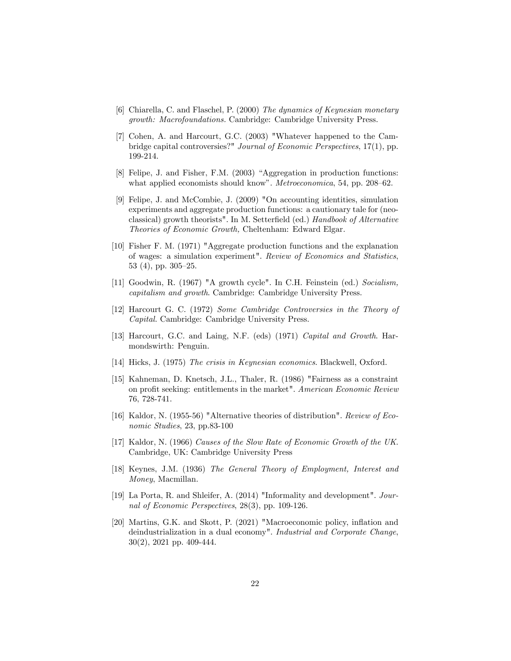- [6] Chiarella, C. and Flaschel, P. (2000) The dynamics of Keynesian monetary growth: Macrofoundations. Cambridge: Cambridge University Press.
- [7] Cohen, A. and Harcourt, G.C. (2003) "Whatever happened to the Cambridge capital controversies?" Journal of Economic Perspectives, 17(1), pp. 199-214.
- [8] Felipe, J. and Fisher, F.M. (2003) "Aggregation in production functions: what applied economists should know". Metroeconomica, 54, pp. 208-62.
- [9] Felipe, J. and McCombie, J. (2009) "On accounting identities, simulation experiments and aggregate production functions: a cautionary tale for (neoclassical) growth theorists". In M. Setterfield (ed.) Handbook of Alternative Theories of Economic Growth, Cheltenham: Edward Elgar.
- [10] Fisher F. M. (1971) "Aggregate production functions and the explanation of wages: a simulation experiment". Review of Economics and Statistics, 53 (4), pp.  $305-25$ .
- [11] Goodwin, R. (1967) "A growth cycle". In C.H. Feinstein (ed.) Socialism, capitalism and growth. Cambridge: Cambridge University Press.
- [12] Harcourt G. C. (1972) Some Cambridge Controversies in the Theory of Capital. Cambridge: Cambridge University Press.
- [13] Harcourt, G.C. and Laing, N.F. (eds) (1971) Capital and Growth. Harmondswirth: Penguin.
- [14] Hicks, J. (1975) The crisis in Keynesian economics. Blackwell, Oxford.
- [15] Kahneman, D. Knetsch, J.L., Thaler, R. (1986) "Fairness as a constraint on profit seeking: entitlements in the market". American Economic Review 76, 728-741.
- [16] Kaldor, N. (1955-56) "Alternative theories of distribution". Review of Economic Studies, 23, pp.83-100
- [17] Kaldor, N. (1966) Causes of the Slow Rate of Economic Growth of the UK. Cambridge, UK: Cambridge University Press
- [18] Keynes, J.M. (1936) The General Theory of Employment, Interest and Money, Macmillan.
- [19] La Porta, R. and Shleifer, A. (2014) "Informality and development". Journal of Economic Perspectives, 28(3), pp. 109-126.
- [20] Martins, G.K. and Skott, P. (2021) "Macroeconomic policy, inflation and deindustrialization in a dual economy". Industrial and Corporate Change, 30(2), 2021 pp. 409-444.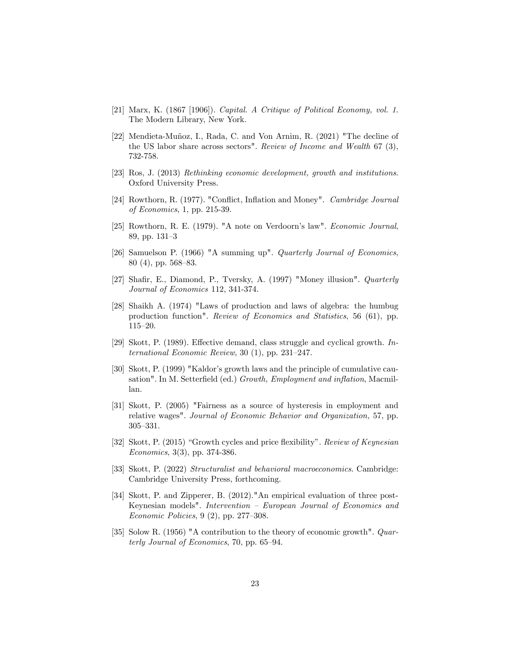- [21] Marx, K. (1867 [1906]). Capital. A Critique of Political Economy, vol. 1. The Modern Library, New York.
- [22] Mendieta-Muñoz, I., Rada, C. and Von Arnim, R. (2021) "The decline of the US labor share across sectors". Review of Income and Wealth 67 (3), 732-758.
- [23] Ros, J. (2013) Rethinking economic development, growth and institutions. Oxford University Press.
- [24] Rowthorn, R. (1977). "Conflict, Inflation and Money". Cambridge Journal of Economics, 1, pp. 215-39.
- [25] Rowthorn, R. E. (1979). "A note on Verdoorn's law". *Economic Journal*, 89, pp. 131-3
- [26] Samuelson P. (1966) "A summing up". Quarterly Journal of Economics, 80 (4), pp. 568–83.
- [27] Shafir, E., Diamond, P., Tversky, A. (1997) "Money illusion". *Quarterly* Journal of Economics 112, 341-374.
- [28] Shaikh A. (1974) "Laws of production and laws of algebra: the humbug production function". Review of Economics and Statistics, 56 (61), pp.  $115 - 20.$
- [29] Skott, P. (1989). Effective demand, class struggle and cyclical growth. International Economic Review,  $30(1)$ , pp.  $231-247$ .
- [30] Skott, P. (1999) "Kaldor's growth laws and the principle of cumulative causation". In M. Setterfield (ed.) Growth, Employment and inflation, Macmillan.
- [31] Skott, P. (2005) "Fairness as a source of hysteresis in employment and relative wages". Journal of Economic Behavior and Organization, 57, pp. 305-331.
- [32] Skott, P. (2015) "Growth cycles and price flexibility". Review of Keynesian Economics, 3(3), pp. 374-386.
- [33] Skott, P. (2022) Structuralist and behavioral macroeconomics. Cambridge: Cambridge University Press, forthcoming.
- [34] Skott, P. and Zipperer, B. (2012)."An empirical evaluation of three post-Keynesian models". Intervention - European Journal of Economics and Economic Policies,  $9(2)$ , pp. 277–308.
- [35] Solow R. (1956) "A contribution to the theory of economic growth". Quarterly Journal of Economics, 70, pp.  $65-94$ .